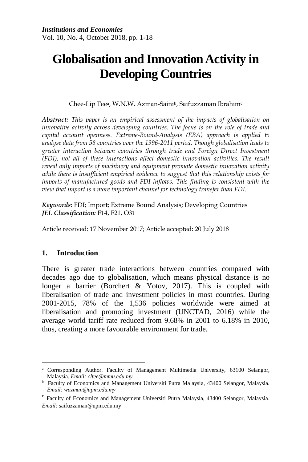# **Globalisation and Innovation Activity in Developing Countries**

Chee-Lip Teea, W.N.W. Azman-Sainib, Saifuzzaman Ibrahim<sup>c</sup>

*Abstract: This paper is an empirical assessment of the impacts of globalisation on innovative activity across developing countries. The focus is on the role of trade and capital account openness. Extreme-Bound-Analysis (EBA) approach is applied to analyse data from 58 countries over the 1996-2011 period. Though globalisation leads to greater interaction between countries through trade and Foreign Direct Investment (FDI), not all of these interactions affect domestic innovation activities. The result reveal only imports of machinery and equipment promote domestic innovation activity while there is insufficient empirical evidence to suggest that this relationship exists for imports of manufactured goods and FDI inflows. This finding is consistent with the view that import is a more important channel for technology transfer than FDI.*

*Keywords:* FDI; Import; Extreme Bound Analysis; Developing Countries *JEL Classification:* F14, F21, O31

Article received: 17 November 2017; Article accepted: 20 July 2018

#### **1. Introduction**

There is greater trade interactions between countries compared with decades ago due to globalisation, which means physical distance is no longer a barrier (Borchert & Yotov, 2017). This is coupled with liberalisation of trade and investment policies in most countries. During 2001-2015, 78% of the 1,536 policies worldwide were aimed at liberalisation and promoting investment (UNCTAD, 2016) while the average world tariff rate reduced from 9.68% in 2001 to 6.18% in 2010, thus, creating a more favourable environment for trade.

 $\ddot{\phantom{a}}$ <sup>a</sup> Corresponding Author. Faculty of Management Multimedia University, 63100 Selangor, Malaysia. *Email: cltee@mmu.edu.my*

<sup>&</sup>lt;sup>b</sup> Faculty of Economics and Management Universiti Putra Malaysia, 43400 Selangor, Malaysia. *Email: wazman@upm.edu.my*

c Faculty of Economics and Management Universiti Putra Malaysia, 43400 Selangor, Malaysia. *Email:* saifuzzaman@upm.edu.my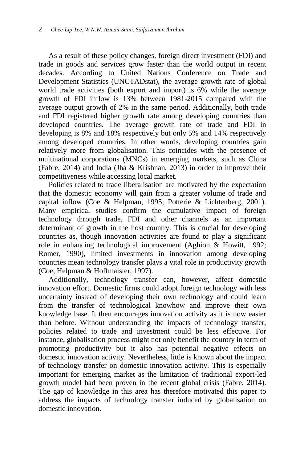As a result of these policy changes, foreign direct investment (FDI) and trade in goods and services grow faster than the world output in recent decades. According to United Nations Conference on Trade and Development Statistics (UNCTADstat), the average growth rate of global world trade activities (both export and import) is 6% while the average growth of FDI inflow is 13% between 1981-2015 compared with the average output growth of 2% in the same period. Additionally, both trade and FDI registered higher growth rate among developing countries than developed countries. The average growth rate of trade and FDI in developing is 8% and 18% respectively but only 5% and 14% respectively among developed countries. In other words, developing countries gain relatively more from globalisation. This coincides with the presence of multinational corporations (MNCs) in emerging markets, such as China (Fabre, 2014) and India (Jha & Krishnan, 2013) in order to improve their competitiveness while accessing local market.

Policies related to trade liberalisation are motivated by the expectation that the domestic economy will gain from a greater volume of trade and capital inflow (Coe & Helpman, 1995; Potterie & Lichtenberg, 2001). Many empirical studies confirm the cumulative impact of foreign technology through trade, FDI and other channels as an important determinant of growth in the host country. This is crucial for developing countries as, though innovation activities are found to play a significant role in enhancing technological improvement (Aghion & Howitt, 1992; Romer, 1990), limited investments in innovation among developing countries mean technology transfer plays a vital role in productivity growth (Coe, Helpman & Hoffmaister, 1997).

Additionally, technology transfer can, however, affect domestic innovation effort. Domestic firms could adopt foreign technology with less uncertainty instead of developing their own technology and could learn from the transfer of technological knowhow and improve their own knowledge base. It then encourages innovation activity as it is now easier than before. Without understanding the impacts of technology transfer, policies related to trade and investment could be less effective. For instance, globalisation process might not only benefit the country in term of promoting productivity but it also has potential negative effects on domestic innovation activity. Nevertheless, little is known about the impact of technology transfer on domestic innovation activity. This is especially important for emerging market as the limitation of traditional export-led growth model had been proven in the recent global crisis (Fabre, 2014). The gap of knowledge in this area has therefore motivated this paper to address the impacts of technology transfer induced by globalisation on domestic innovation.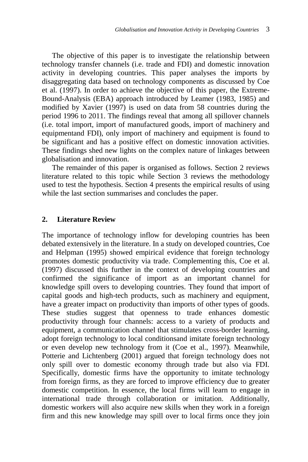The objective of this paper is to investigate the relationship between technology transfer channels (i.e. trade and FDI) and domestic innovation activity in developing countries. This paper analyses the imports by disaggregating data based on technology components as discussed by Coe et al. (1997). In order to achieve the objective of this paper, the Extreme-Bound-Analysis (EBA) approach introduced by Leamer (1983, 1985) and modified by Xavier (1997) is used on data from 58 countries during the period 1996 to 2011. The findings reveal that among all spillover channels (i.e. total import, import of manufactured goods, import of machinery and equipmentand FDI), only import of machinery and equipment is found to be significant and has a positive effect on domestic innovation activities. These findings shed new lights on the complex nature of linkages between globalisation and innovation.

The remainder of this paper is organised as follows. Section 2 reviews literature related to this topic while Section 3 reviews the methodology used to test the hypothesis. Section 4 presents the empirical results of using while the last section summarises and concludes the paper.

#### **2. Literature Review**

The importance of technology inflow for developing countries has been debated extensively in the literature. In a study on developed countries, Coe and Helpman (1995) showed empirical evidence that foreign technology promotes domestic productivity via trade. Complementing this, Coe et al. (1997) discussed this further in the context of developing countries and confirmed the significance of import as an important channel for knowledge spill overs to developing countries. They found that import of capital goods and high-tech products, such as machinery and equipment, have a greater impact on productivity than imports of other types of goods. These studies suggest that openness to trade enhances domestic productivity through four channels: access to a variety of products and equipment, a communication channel that stimulates cross-border learning, adopt foreign technology to local conditionsand imitate foreign technology or even develop new technology from it (Coe et al., 1997). Meanwhile, Potterie and Lichtenberg (2001) argued that foreign technology does not only spill over to domestic economy through trade but also via FDI. Specifically, domestic firms have the opportunity to imitate technology from foreign firms, as they are forced to improve efficiency due to greater domestic competition. In essence, the local firms will learn to engage in international trade through collaboration or imitation. Additionally, domestic workers will also acquire new skills when they work in a foreign firm and this new knowledge may spill over to local firms once they join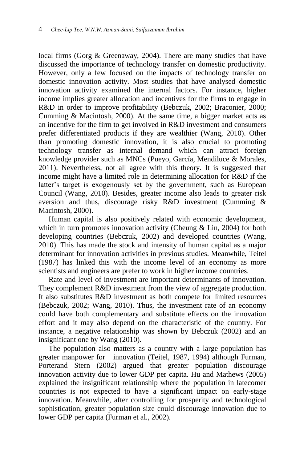local firms (Gorg & Greenaway, 2004). There are many studies that have discussed the importance of technology transfer on domestic productivity. However, only a few focused on the impacts of technology transfer on domestic innovation activity. Most studies that have analysed domestic innovation activity examined the internal factors. For instance, higher income implies greater allocation and incentives for the firms to engage in R&D in order to improve profitability (Bebczuk, 2002; Braconier, 2000; Cumming & Macintosh, 2000). At the same time, a bigger market acts as an incentive for the firm to get involved in R&D investment and consumers prefer differentiated products if they are wealthier (Wang, 2010). Other than promoting domestic innovation, it is also crucial to promoting technology transfer as internal demand which can attract foreign knowledge provider such as MNCs (Pueyo, García, Mendiluce & Morales, 2011). Nevertheless, not all agree with this theory. It is suggested that income might have a limited role in determining allocation for R&D if the latter's target is exogenously set by the government, such as European Council (Wang, 2010). Besides, greater income also leads to greater risk aversion and thus, discourage risky R&D investment (Cumming & Macintosh, 2000).

Human capital is also positively related with economic development, which in turn promotes innovation activity (Cheung & Lin, 2004) for both developing countries (Bebczuk, 2002) and developed countries (Wang, 2010). This has made the stock and intensity of human capital as a major determinant for innovation activities in previous studies. Meanwhile, Teitel (1987) has linked this with the income level of an economy as more scientists and engineers are prefer to work in higher income countries.

Rate and level of investment are important determinants of innovation. They complement R&D investment from the view of aggregate production. It also substitutes R&D investment as both compete for limited resources (Bebczuk, 2002; Wang, 2010). Thus, the investment rate of an economy could have both complementary and substitute effects on the innovation effort and it may also depend on the characteristic of the country. For instance, a negative relationship was shown by Bebczuk (2002) and an insignificant one by Wang (2010).

The population also matters as a country with a large population has greater manpower for innovation (Teitel, 1987, 1994) although Furman, Porterand Stern (2002) argued that greater population discourage innovation activity due to lower GDP per capita. Hu and Mathews (2005) explained the insignificant relationship where the population in latecomer countries is not expected to have a significant impact on early-stage innovation. Meanwhile, after controlling for prosperity and technological sophistication, greater population size could discourage innovation due to lower GDP per capita (Furman et al., 2002).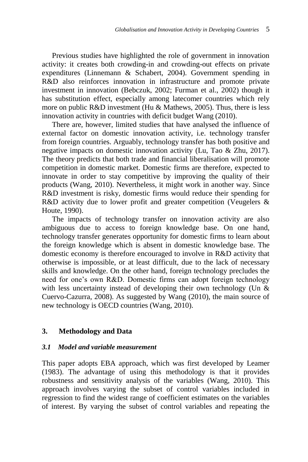Previous studies have highlighted the role of government in innovation activity: it creates both crowding-in and crowding-out effects on private expenditures (Linnemann & Schabert, 2004). Government spending in R&D also reinforces innovation in infrastructure and promote private investment in innovation (Bebczuk, 2002; Furman et al., 2002) though it has substitution effect, especially among latecomer countries which rely more on public R&D investment (Hu & Mathews, 2005). Thus, there is less innovation activity in countries with deficit budget Wang (2010).

There are, however, limited studies that have analysed the influence of external factor on domestic innovation activity, i.e. technology transfer from foreign countries. Arguably, technology transfer has both positive and negative impacts on domestic innovation activity (Lu, Tao & Zhu, 2017). The theory predicts that both trade and financial liberalisation will promote competition in domestic market. Domestic firms are therefore, expected to innovate in order to stay competitive by improving the quality of their products (Wang, 2010). Nevertheless, it might work in another way. Since R&D investment is risky, domestic firms would reduce their spending for R&D activity due to lower profit and greater competition (Veugelers & Houte, 1990).

The impacts of technology transfer on innovation activity are also ambiguous due to access to foreign knowledge base. On one hand, technology transfer generates opportunity for domestic firms to learn about the foreign knowledge which is absent in domestic knowledge base. The domestic economy is therefore encouraged to involve in R&D activity that otherwise is impossible, or at least difficult, due to the lack of necessary skills and knowledge. On the other hand, foreign technology precludes the need for one's own R&D. Domestic firms can adopt foreign technology with less uncertainty instead of developing their own technology (Un  $\&$ Cuervo-Cazurra, 2008). As suggested by Wang (2010), the main source of new technology is OECD countries (Wang, 2010).

#### **3. Methodology and Data**

#### *3.1 Model and variable measurement*

This paper adopts EBA approach, which was first developed by Leamer (1983). The advantage of using this methodology is that it provides robustness and sensitivity analysis of the variables (Wang, 2010). This approach involves varying the subset of control variables included in regression to find the widest range of coefficient estimates on the variables of interest. By varying the subset of control variables and repeating the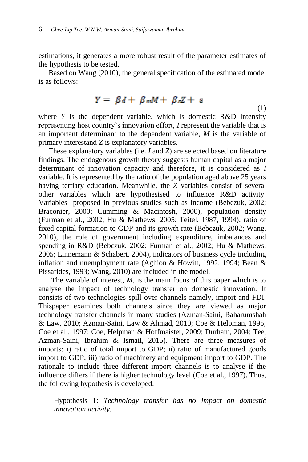estimations, it generates a more robust result of the parameter estimates of the hypothesis to be tested.

Based on Wang (2010), the general specification of the estimated model is as follows:

$$
Y = \beta I + \beta mM + \beta zZ + \varepsilon
$$
\n(1)

where  $Y$  is the dependent variable, which is domestic R&D intensity representing host country's innovation effort, *I* represent the variable that is an important determinant to the dependent variable, *M* is the variable of primary interestand *Z* is explanatory variables.

These explanatory variables (i.e. *I* and *Z*) are selected based on literature findings. The endogenous growth theory suggests human capital as a major determinant of innovation capacity and therefore, it is considered as *I* variable. It is represented by the ratio of the population aged above 25 years having tertiary education. Meanwhile, the *Z* variables consist of several other variables which are hypothesised to influence R&D activity. Variables proposed in previous studies such as income (Bebczuk, 2002; Braconier, 2000; Cumming & Macintosh, 2000), population density (Furman et al., 2002; Hu & Mathews, 2005; Teitel, 1987, 1994), ratio of fixed capital formation to GDP and its growth rate (Bebczuk, 2002; Wang, 2010), the role of government including expenditure, imbalances and spending in R&D (Bebczuk, 2002; Furman et al., 2002; Hu & Mathews, 2005; Linnemann & Schabert, 2004), indicators of business cycle including inflation and unemployment rate (Aghion & Howitt, 1992, 1994; Bean & Pissarides, 1993; Wang, 2010) are included in the model.

The variable of interest, *M*, is the main focus of this paper which is to analyse the impact of technology transfer on domestic innovation. It consists of two technologies spill over channels namely, import and FDI. Thispaper examines both channels since they are viewed as major technology transfer channels in many studies (Azman-Saini, Baharumshah & Law, 2010; Azman-Saini, Law & Ahmad, 2010; Coe & Helpman, 1995; Coe et al., 1997; Coe, Helpman & Hoffmaister, 2009; Durham, 2004; Tee, Azman-Saini, Ibrahim & Ismail, 2015). There are three measures of imports: i) ratio of total import to GDP; ii) ratio of manufactured goods import to GDP; iii) ratio of machinery and equipment import to GDP. The rationale to include three different import channels is to analyse if the influence differs if there is higher technology level (Coe et al., 1997). Thus, the following hypothesis is developed:

Hypothesis 1: *Technology transfer has no impact on domestic innovation activity.*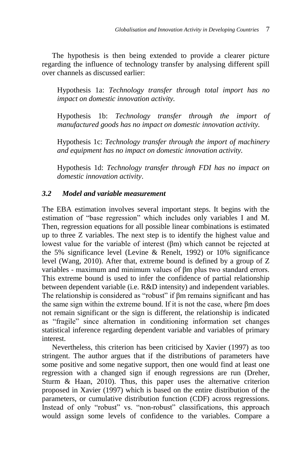The hypothesis is then being extended to provide a clearer picture regarding the influence of technology transfer by analysing different spill over channels as discussed earlier:

Hypothesis 1a: *Technology transfer through total import has no impact on domestic innovation activity.*

Hypothesis 1b: *Technology transfer through the import of manufactured goods has no impact on domestic innovation activity.*

Hypothesis 1c: *Technology transfer through the import of machinery and equipment has no impact on domestic innovation activity.*

Hypothesis 1d: *Technology transfer through FDI has no impact on domestic innovation activity*.

## *3.2 Model and variable measurement*

The EBA estimation involves several important steps. It begins with the estimation of "base regression" which includes only variables I and M. Then, regression equations for all possible linear combinations is estimated up to three Z variables. The next step is to identify the highest value and lowest value for the variable of interest (βm) which cannot be rejected at the 5% significance level (Levine & Renelt, 1992) or 10% significance level (Wang, 2010). After that, extreme bound is defined by a group of Z variables - maximum and minimum values of βm plus two standard errors. This extreme bound is used to infer the confidence of partial relationship between dependent variable (i.e. R&D intensity) and independent variables. The relationship is considered as "robust" if βm remains significant and has the same sign within the extreme bound. If it is not the case, where βm does not remain significant or the sign is different, the relationship is indicated as "fragile" since alternation in conditioning information set changes statistical inference regarding dependent variable and variables of primary interest.

Nevertheless, this criterion has been criticised by Xavier (1997) as too stringent. The author argues that if the distributions of parameters have some positive and some negative support, then one would find at least one regression with a changed sign if enough regressions are run (Dreher, Sturm & Haan, 2010). Thus, this paper uses the alternative criterion proposed in Xavier (1997) which is based on the entire distribution of the parameters, or cumulative distribution function (CDF) across regressions. Instead of only "robust" vs. "non-robust" classifications, this approach would assign some levels of confidence to the variables. Compare a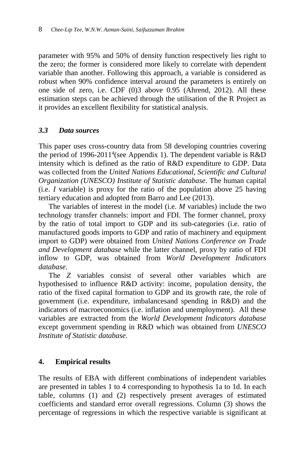parameter with 95% and 50% of density function respectively lies right to the zero; the former is considered more likely to correlate with dependent variable than another. Following this approach, a variable is considered as robust when 90% confidence interval around the parameters is entirely on one side of zero, i.e. CDF (0)3 above 0.95 (Ahrend, 2012). All these estimation steps can be achieved through the utilisation of the R Project as it provides an excellent flexibility for statistical analysis.

## *3.3 Data sources*

This paper uses cross-country data from 58 developing countries covering the period of 1996-2011<sup>4</sup> (see Appendix 1). The dependent variable is  $R&D$ intensity which is defined as the ratio of R&D expenditure to GDP. Data was collected from the *United Nations Educational, Scientific and Cultural Organization (UNESCO) Institute of Statistic database*. The human capital (i.e. *I* variable) is proxy for the ratio of the population above 25 having tertiary education and adopted from Barro and Lee (2013).

The variables of interest in the model (i.e. *M* variables) include the two technology transfer channels: import and FDI. The former channel, proxy by the ratio of total import to GDP and its sub-categories (i.e. ratio of manufactured goods imports to GDP and ratio of machinery and equipment import to GDP) were obtained from *United Nations Conference on Trade and Development database* while the latter channel, proxy by ratio of FDI inflow to GDP, was obtained from *World Development Indicators database*.

The *Z* variables consist of several other variables which are hypothesised to influence R&D activity: income, population density, the ratio of the fixed capital formation to GDP and its growth rate, the role of government (i.e. expenditure, imbalancesand spending in R&D) and the indicators of macroeconomics (i.e. inflation and unemployment). All these variables are extracted from the *World Development Indicators database* except government spending in R&D which was obtained from *UNESCO Institute of Statistic database*.

#### **4. Empirical results**

The results of EBA with different combinations of independent variables are presented in tables 1 to 4 corresponding to hypothesis 1a to 1d. In each table, columns (1) and (2) respectively present averages of estimated coefficients and standard error overall regressions. Column (3) shows the percentage of regressions in which the respective variable is significant at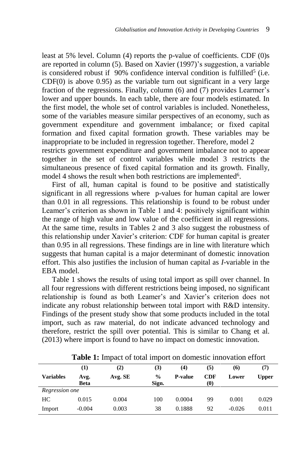least at 5% level. Column (4) reports the p-value of coefficients. CDF (0)s are reported in column (5). Based on Xavier (1997)'s suggestion, a variable is considered robust if  $90\%$  confidence interval condition is fulfilled<sup>5</sup> (i.e. CDF(0) is above 0.95) as the variable turn out significant in a very large fraction of the regressions. Finally, column (6) and (7) provides Learmer's lower and upper bounds. In each table, there are four models estimated. In the first model, the whole set of control variables is included. Nonetheless, some of the variables measure similar perspectives of an economy, such as government expenditure and government imbalance; or fixed capital formation and fixed capital formation growth. These variables may be inappropriate to be included in regression together. Therefore, model 2 restricts government expenditure and government imbalance not to appear together in the set of control variables while model 3 restricts the simultaneous presence of fixed capital formation and its growth. Finally, model 4 shows the result when both restrictions are implemented<sup>6</sup>.

First of all, human capital is found to be positive and statistically significant in all regressions where p-values for human capital are lower than 0.01 in all regressions. This relationship is found to be robust under Leamer's criterion as shown in Table 1 and 4: positively significant within the range of high value and low value of the coefficient in all regressions. At the same time, results in Tables 2 and 3 also suggest the robustness of this relationship under Xavier's criterion: CDF for human capital is greater than 0.95 in all regressions. These findings are in line with literature which suggests that human capital is a major determinant of domestic innovation effort. This also justifies the inclusion of human capital as *I*-variable in the EBA model.

Table 1 shows the results of using total import as spill over channel. In all four regressions with different restrictions being imposed, no significant relationship is found as both Leamer's and Xavier's criterion does not indicate any robust relationship between total import with R&D intensity. Findings of the present study show that some products included in the total import, such as raw material, do not indicate advanced technology and therefore, restrict the spill over potential. This is similar to Chang et al. (2013) where import is found to have no impact on domestic innovation.

|                  | (1)         | $\rm(2)$ | (3)           | (4)            | (5) | (6)      | (7)          |
|------------------|-------------|----------|---------------|----------------|-----|----------|--------------|
| <b>Variables</b> | Avg.        | Avg. SE  | $\frac{0}{0}$ | <b>P-value</b> | CDF | Lower    | <b>Upper</b> |
|                  | <b>Beta</b> |          | Sign.         |                | (0) |          |              |
| Regression one   |             |          |               |                |     |          |              |
| HC               | 0.015       | 0.004    | 100           | 0.0004         | 99  | 0.001    | 0.029        |
| Import           | $-0.004$    | 0.003    | 38            | 0.1888         | 92  | $-0.026$ | 0.011        |

**Table 1:** Impact of total import on domestic innovation effort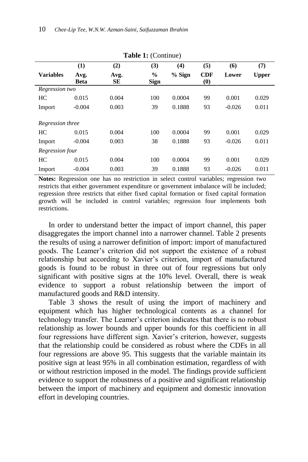| <b>Table 1:</b> (Collumne) |                     |            |                              |        |                                             |          |              |
|----------------------------|---------------------|------------|------------------------------|--------|---------------------------------------------|----------|--------------|
|                            | (1)                 | (2)        | (3)                          | (4)    | (5)                                         | (6)      | (7)          |
| <b>Variables</b>           | Avg.<br><b>Beta</b> | Avg.<br>SЕ | $\frac{6}{6}$<br><b>Sign</b> | % Sign | <b>CDF</b><br>$\boldsymbol{\left(0\right)}$ | Lower    | <b>Upper</b> |
| Regression two             |                     |            |                              |        |                                             |          |              |
| HC                         | 0.015               | 0.004      | 100                          | 0.0004 | 99                                          | 0.001    | 0.029        |
| Import                     | $-0.004$            | 0.003      | 39                           | 0.1888 | 93                                          | $-0.026$ | 0.011        |
| Regression three           |                     |            |                              |        |                                             |          |              |
| HC                         | 0.015               | 0.004      | 100                          | 0.0004 | 99                                          | 0.001    | 0.029        |
|                            |                     |            |                              |        |                                             |          |              |
| Import                     | $-0.004$            | 0.003      | 38                           | 0.1888 | 93                                          | $-0.026$ | 0.011        |
| Regression four            |                     |            |                              |        |                                             |          |              |
| HC                         | 0.015               | 0.004      | 100                          | 0.0004 | 99                                          | 0.001    | 0.029        |
| Import                     | $-0.004$            | 0.003      | 39                           | 0.1888 | 93                                          | $-0.026$ | 0.011        |

**Table 1:** (Continue)

**Notes:** Regression one has no restriction in select control variables; regression two restricts that either government expenditure or government imbalance will be included; regression three restricts that either fixed capital formation or fixed capital formation growth will be included in control variables; regression four implements both restrictions.

In order to understand better the impact of import channel, this paper disaggregates the import channel into a narrower channel. Table 2 presents the results of using a narrower definition of import: import of manufactured goods. The Leamer's criterion did not support the existence of a robust relationship but according to Xavier's criterion, import of manufactured goods is found to be robust in three out of four regressions but only significant with positive signs at the 10% level. Overall, there is weak evidence to support a robust relationship between the import of manufactured goods and R&D intensity.

Table 3 shows the result of using the import of machinery and equipment which has higher technological contents as a channel for technology transfer. The Leamer's criterion indicates that there is no robust relationship as lower bounds and upper bounds for this coefficient in all four regressions have different sign. Xavier's criterion, however, suggests that the relationship could be considered as robust where the CDFs in all four regressions are above 95. This suggests that the variable maintain its positive sign at least 95% in all combination estimation, regardless of with or without restriction imposed in the model. The findings provide sufficient evidence to support the robustness of a positive and significant relationship between the import of machinery and equipment and domestic innovation effort in developing countries.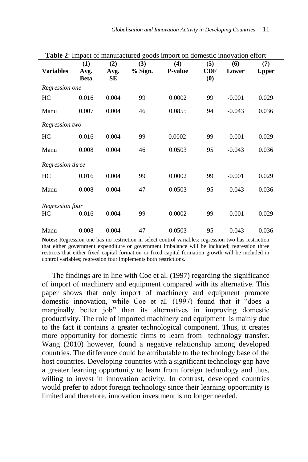| <b>THEIR FIGURE OF HUMMERGE COOLS HIPOLE ON GOTHESILY HIMO VALION VITOLE</b> |                     |            |         |         |                                               |          |              |  |
|------------------------------------------------------------------------------|---------------------|------------|---------|---------|-----------------------------------------------|----------|--------------|--|
|                                                                              | (1)                 | (2)        | (3)     | (4)     | (5)                                           | (6)      | (7)          |  |
| <b>Variables</b>                                                             | Avg.<br><b>Beta</b> | Avg.<br>SЕ | % Sign. | P-value | <b>CDF</b><br>$\boldsymbol{\left( 0\right) }$ | Lower    | <b>Upper</b> |  |
| Regression one                                                               |                     |            |         |         |                                               |          |              |  |
| HС                                                                           | 0.016               | 0.004      | 99      | 0.0002  | 99                                            | $-0.001$ | 0.029        |  |
| Manu                                                                         | 0.007               | 0.004      | 46      | 0.0855  | 94                                            | $-0.043$ | 0.036        |  |
| Regression two                                                               |                     |            |         |         |                                               |          |              |  |
| HС                                                                           | 0.016               | 0.004      | 99      | 0.0002  | 99                                            | $-0.001$ | 0.029        |  |
| Manu                                                                         | 0.008               | 0.004      | 46      | 0.0503  | 95                                            | $-0.043$ | 0.036        |  |
| Regression three                                                             |                     |            |         |         |                                               |          |              |  |
| HC                                                                           | 0.016               | 0.004      | 99      | 0.0002  | 99                                            | $-0.001$ | 0.029        |  |
| Manu                                                                         | 0.008               | 0.004      | 47      | 0.0503  | 95                                            | $-0.043$ | 0.036        |  |
| Regression four                                                              |                     |            |         |         |                                               |          |              |  |
| HС                                                                           | 0.016               | 0.004      | 99      | 0.0002  | 99                                            | $-0.001$ | 0.029        |  |
| Manu                                                                         | 0.008               | 0.004      | 47      | 0.0503  | 95                                            | $-0.043$ | 0.036        |  |

**Table 2**: Impact of manufactured goods import on domestic innovation effort

**Notes:** Regression one has no restriction in select control variables; regression two has restriction that either government expenditure or government imbalance will be included; regression three restricts that either fixed capital formation or fixed capital formation growth will be included in control variables; regression four implements both restrictions.

The findings are in line with Coe et al. (1997) regarding the significance of import of machinery and equipment compared with its alternative. This paper shows that only import of machinery and equipment promote domestic innovation, while Coe et al. (1997) found that it "does a marginally better job" than its alternatives in improving domestic productivity. The role of imported machinery and equipment is mainly due to the fact it contains a greater technological component. Thus, it creates more opportunity for domestic firms to learn from technology transfer. Wang (2010) however, found a negative relationship among developed countries. The difference could be attributable to the technology base of the host countries. Developing countries with a significant technology gap have a greater learning opportunity to learn from foreign technology and thus, willing to invest in innovation activity. In contrast, developed countries would prefer to adopt foreign technology since their learning opportunity is limited and therefore, innovation investment is no longer needed.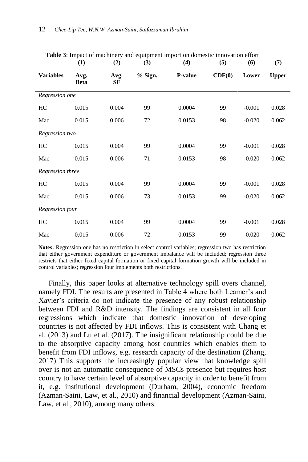| <b>Table 5</b> : Impact of machinery and equipment import on domestic innovation effort |                     |                   |         |                |        |          |              |
|-----------------------------------------------------------------------------------------|---------------------|-------------------|---------|----------------|--------|----------|--------------|
|                                                                                         | (1)                 | (2)               | (3)     | (4)            | (5)    | (6)      | (7)          |
| <b>Variables</b>                                                                        | Avg.<br><b>Beta</b> | Avg.<br><b>SE</b> | % Sign. | <b>P-value</b> | CDF(0) | Lower    | <b>Upper</b> |
| Regression one                                                                          |                     |                   |         |                |        |          |              |
| HC                                                                                      | 0.015               | 0.004             | 99      | 0.0004         | 99     | $-0.001$ | 0.028        |
| Mac                                                                                     | 0.015               | 0.006             | 72      | 0.0153         | 98     | $-0.020$ | 0.062        |
| Regression two                                                                          |                     |                   |         |                |        |          |              |
| HC                                                                                      | 0.015               | 0.004             | 99      | 0.0004         | 99     | $-0.001$ | 0.028        |
| Mac                                                                                     | 0.015               | 0.006             | 71      | 0.0153         | 98     | $-0.020$ | 0.062        |
| Regression three                                                                        |                     |                   |         |                |        |          |              |
| HС                                                                                      | 0.015               | 0.004             | 99      | 0.0004         | 99     | $-0.001$ | 0.028        |
| Mac                                                                                     | 0.015               | 0.006             | 73      | 0.0153         | 99     | $-0.020$ | 0.062        |
| Regression four                                                                         |                     |                   |         |                |        |          |              |
| HC                                                                                      | 0.015               | 0.004             | 99      | 0.0004         | 99     | $-0.001$ | 0.028        |
| Mac                                                                                     | 0.015               | 0.006             | 72      | 0.0153         | 99     | $-0.020$ | 0.062        |

**Table 3**: Impact of machinery and equipment import on domestic innovation effort

**Notes:** Regression one has no restriction in select control variables; regression two has restriction that either government expenditure or government imbalance will be included; regression three restricts that either fixed capital formation or fixed capital formation growth will be included in control variables; regression four implements both restrictions.

Finally, this paper looks at alternative technology spill overs channel, namely FDI. The results are presented in Table 4 where both Leamer's and Xavier's criteria do not indicate the presence of any robust relationship between FDI and R&D intensity. The findings are consistent in all four regressions which indicate that domestic innovation of developing countries is not affected by FDI inflows. This is consistent with Chang et al. (2013) and Lu et al. (2017). The insignificant relationship could be due to the absorptive capacity among host countries which enables them to benefit from FDI inflows, e.g. research capacity of the destination (Zhang, 2017) This supports the increasingly popular view that knowledge spill over is not an automatic consequence of MSCs presence but requires host country to have certain level of absorptive capacity in order to benefit from it, e.g. institutional development (Durham, 2004), economic freedom (Azman-Saini, Law, et al., 2010) and financial development (Azman-Saini, Law, et al., 2010), among many others.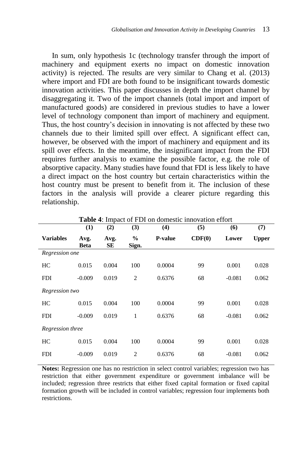In sum, only hypothesis 1c (technology transfer through the import of machinery and equipment exerts no impact on domestic innovation activity) is rejected. The results are very similar to Chang et al. (2013) where import and FDI are both found to be insignificant towards domestic innovation activities. This paper discusses in depth the import channel by disaggregating it. Two of the import channels (total import and import of manufactured goods) are considered in previous studies to have a lower level of technology component than import of machinery and equipment. Thus, the host country's decision in innovating is not affected by these two channels due to their limited spill over effect. A significant effect can, however, be observed with the import of machinery and equipment and its spill over effects. In the meantime, the insignificant impact from the FDI requires further analysis to examine the possible factor, e.g. the role of absorptive capacity. Many studies have found that FDI is less likely to have a direct impact on the host country but certain characteristics within the host country must be present to benefit from it. The inclusion of these factors in the analysis will provide a clearer picture regarding this relationship.

|                  | (1)          | (2)        | (3)            | (4)            | (5)    | (6)      | (7)          |
|------------------|--------------|------------|----------------|----------------|--------|----------|--------------|
| <b>Variables</b> | Avg.<br>Beta | Avg.<br>SЕ | $\%$<br>Sign.  | <b>P-value</b> | CDF(0) | Lower    | <b>Upper</b> |
| Regression one   |              |            |                |                |        |          |              |
| HC               | 0.015        | 0.004      | 100            | 0.0004         | 99     | 0.001    | 0.028        |
| <b>FDI</b>       | $-0.009$     | 0.019      | $\overline{2}$ | 0.6376         | 68     | $-0.081$ | 0.062        |
| Regression two   |              |            |                |                |        |          |              |
| HC               | 0.015        | 0.004      | 100            | 0.0004         | 99     | 0.001    | 0.028        |
| <b>FDI</b>       | $-0.009$     | 0.019      | 1              | 0.6376         | 68     | $-0.081$ | 0.062        |
| Regression three |              |            |                |                |        |          |              |
| HC               | 0.015        | 0.004      | 100            | 0.0004         | 99     | 0.001    | 0.028        |
| <b>FDI</b>       | $-0.009$     | 0.019      | $\overline{2}$ | 0.6376         | 68     | $-0.081$ | 0.062        |

**Table 4**: Impact of FDI on domestic innovation effort

**Notes:** Regression one has no restriction in select control variables; regression two has restriction that either government expenditure or government imbalance will be included; regression three restricts that either fixed capital formation or fixed capital formation growth will be included in control variables; regression four implements both restrictions.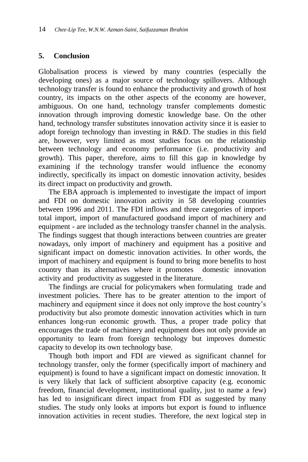## **5. Conclusion**

Globalisation process is viewed by many countries (especially the developing ones) as a major source of technology spillovers. Although technology transfer is found to enhance the productivity and growth of host country, its impacts on the other aspects of the economy are however, ambiguous. On one hand, technology transfer complements domestic innovation through improving domestic knowledge base. On the other hand, technology transfer substitutes innovation activity since it is easier to adopt foreign technology than investing in R&D. The studies in this field are, however, very limited as most studies focus on the relationship between technology and economy performance (i.e. productivity and growth). This paper, therefore, aims to fill this gap in knowledge by examining if the technology transfer would influence the economy indirectly, specifically its impact on domestic innovation activity, besides its direct impact on productivity and growth.

The EBA approach is implemented to investigate the impact of import and FDI on domestic innovation activity in 58 developing countries between 1996 and 2011. The FDI inflows and three categories of importtotal import, import of manufactured goodsand import of machinery and equipment - are included as the technology transfer channel in the analysis. The findings suggest that though interactions between countries are greater nowadays, only import of machinery and equipment has a positive and significant impact on domestic innovation activities. In other words, the import of machinery and equipment is found to bring more benefits to host country than its alternatives where it promotes domestic innovation activity and productivity as suggested in the literature.

The findings are crucial for policymakers when formulating trade and investment policies. There has to be greater attention to the import of machinery and equipment since it does not only improve the host country's productivity but also promote domestic innovation activities which in turn enhances long-run economic growth. Thus, a proper trade policy that encourages the trade of machinery and equipment does not only provide an opportunity to learn from foreign technology but improves domestic capacity to develop its own technology base.

Though both import and FDI are viewed as significant channel for technology transfer, only the former (specifically import of machinery and equipment) is found to have a significant impact on domestic innovation. It is very likely that lack of sufficient absorptive capacity (e.g. economic freedom, financial development, institutional quality, just to name a few) has led to insignificant direct impact from FDI as suggested by many studies. The study only looks at imports but export is found to influence innovation activities in recent studies. Therefore, the next logical step in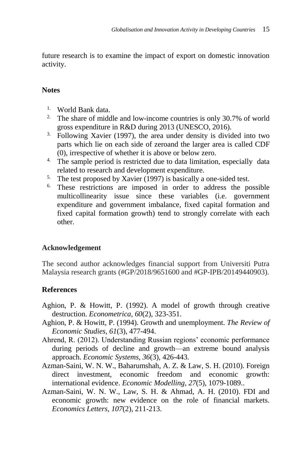future research is to examine the impact of export on domestic innovation activity.

# **Notes**

- 1. World Bank data.
- <sup>2.</sup> The share of middle and low-income countries is only 30.7% of world gross expenditure in R&D during 2013 (UNESCO, 2016).
- <sup>3</sup>. Following Xavier (1997), the area under density is divided into two parts which lie on each side of zeroand the larger area is called CDF (0), irrespective of whether it is above or below zero.
- <sup>4.</sup> The sample period is restricted due to data limitation, especially data related to research and development expenditure.
- <sup>5.</sup> The test proposed by Xavier (1997) is basically a one-sided test.
- 6. These restrictions are imposed in order to address the possible multicollinearity issue since these variables (i.e. government expenditure and government imbalance, fixed capital formation and fixed capital formation growth) tend to strongly correlate with each other.

# **Acknowledgement**

The second author acknowledges financial support from Universiti Putra Malaysia research grants (#GP/2018/9651600 and #GP-IPB/20149440903).

# **References**

- Aghion, P. & Howitt, P. (1992). A model of growth through creative destruction. *Econometrica, 60*(2), 323-351.
- Aghion, P. & Howitt, P. (1994). Growth and unemployment. *The Review of Economic Studies, 61*(3), 477-494.
- Ahrend, R. (2012). Understanding Russian regions' economic performance during periods of decline and growth—an extreme bound analysis approach. *Economic Systems, 36*(3), 426-443.
- Azman-Saini, W. N. W., Baharumshah, A. Z. & Law, S. H. (2010). Foreign direct investment, economic freedom and economic growth: international evidence. *Economic Modelling, 27*(5), 1079-1089..
- Azman-Saini, W. N. W., Law, S. H. & Ahmad, A. H. (2010). FDI and economic growth: new evidence on the role of financial markets. *Economics Letters, 107*(2), 211-213.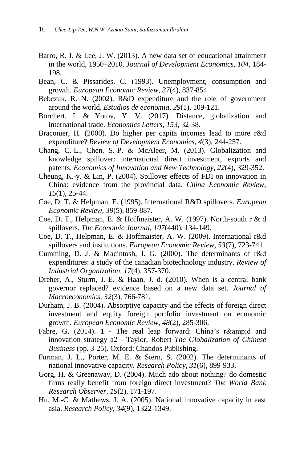- Barro, R. J. & Lee, J. W. (2013). A new data set of educational attainment in the world, 1950–2010. *Journal of Development Economics, 104*, 184- 198.
- Bean, C. & Pissarides, C. (1993). Unemployment, consumption and growth. *European Economic Review, 37*(4), 837-854.
- Bebczuk, R. N. (2002). R&D expenditure and the role of government around the world. *Estudios de economia, 29*(1), 109-121.
- Borchert, I. & Yotov, Y. V. (2017). Distance, globalization and international trade. *Economics Letters, 153*, 32-38.
- Braconier, H. (2000). Do higher per capita incomes lead to more r&d expenditure? *Review of Development Economics, 4*(3), 244-257.
- Chang, C.-L., Chen, S.-P. & McAleer, M. (2013). Globalization and knowledge spillover: international direct investment, exports and patents. *Economics of Innovation and New Technology, 22*(4), 329-352.
- Cheung, K.-y. & Lin, P. (2004). Spillover effects of FDI on innovation in China: evidence from the provincial data. *China Economic Review, 15*(1), 25-44.
- Coe, D. T. & Helpman, E. (1995). International R&D spillovers. *European Economic Review, 39*(5), 859-887.
- Coe, D. T., Helpman, E. & Hoffmaister, A. W. (1997). North-south r & d spillovers. *The Economic Journal, 107*(440), 134-149.
- Coe, D. T., Helpman, E. & Hoffmaister, A. W. (2009). International r&d spillovers and institutions. *European Economic Review, 53*(7), 723-741.
- Cumming, D. J. & Macintosh, J. G. (2000). The determinants of r&d expenditures: a study of the canadian biotechnology industry. *Review of Industrial Organization, 17*(4), 357-370.
- Dreher, A., Sturm, J.-E. & Haan, J. d. (2010). When is a central bank governor replaced? evidence based on a new data set. *Journal of Macroeconomics, 32*(3), 766-781.
- Durham, J. B. (2004). Absorptive capacity and the effects of foreign direct investment and equity foreign portfolio investment on economic growth. *European Economic Review, 48*(2), 285-306.
- Fabre, G.  $(2014)$ . 1 The real leap forward: China's r&d and innovation strategy a2 - Taylor, Robert *The Globalization of Chinese Business* (pp. 3-25). Oxford: Chandos Publishing.
- Furman, J. L., Porter, M. E. & Stern, S. (2002). The determinants of national innovative capacity. *Research Policy, 31*(6), 899-933.
- Gorg, H. & Greenaway, D. (2004). Much ado about nothing? do domestic firms really benefit from foreign direct investment? *The World Bank Research Observer, 19*(2), 171-197.
- Hu, M.-C. & Mathews, J. A. (2005). National innovative capacity in east asia. *Research Policy, 34*(9), 1322-1349.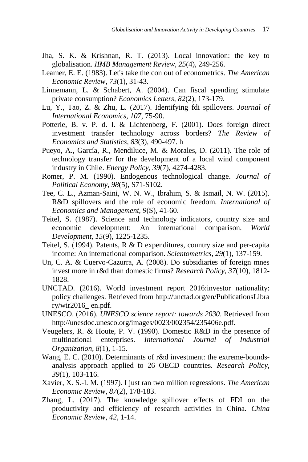- Jha, S. K. & Krishnan, R. T. (2013). Local innovation: the key to globalisation. *IIMB Management Review, 25*(4), 249-256.
- Leamer, E. E. (1983). Let's take the con out of econometrics. *The American Economic Review, 73*(1), 31-43.
- Linnemann, L. & Schabert, A. (2004). Can fiscal spending stimulate private consumption? *Economics Letters, 82*(2), 173-179.
- Lu, Y., Tao, Z. & Zhu, L. (2017). Identifying fdi spillovers. *Journal of International Economics, 107*, 75-90.
- Potterie, B. v. P. d. l. & Lichtenberg, F. (2001). Does foreign direct investment transfer technology across borders? *The Review of Economics and Statistics, 83*(3), 490-497. h
- Pueyo, A., García, R., Mendiluce, M. & Morales, D. (2011). The role of technology transfer for the development of a local wind component industry in Chile. *Energy Policy, 39*(7), 4274-4283.
- Romer, P. M. (1990). Endogenous technological change. *Journal of Political Economy, 98*(5), S71-S102.
- Tee, C. L., Azman-Saini, W. N. W., Ibrahim, S. & Ismail, N. W. (2015). R&D spillovers and the role of economic freedom. *International of Economics and Management, 9*(S), 41-60.
- Teitel, S. (1987). Science and technology indicators, country size and economic development: An international comparison. *World Development, 15*(9), 1225-1235.
- Teitel, S. (1994). Patents, R & D expenditures, country size and per-capita income: An international comparison. *Scientometrics, 29*(1), 137-159.
- Un, C. A. & Cuervo-Cazurra, A. (2008). Do subsidiaries of foreign mnes invest more in r&d than domestic firms? *Research Policy, 37*(10), 1812- 1828.
- UNCTAD. (2016). World investment report 2016:investor nationality: policy challenges. Retrieved from http://unctad.org/en/PublicationsLibra ry/wir2016\_ en.pdf.
- UNESCO. (2016). *UNESCO science report: towards 2030*. Retrieved from http://unesdoc.unesco.org/images/0023/002354/235406e.pdf.
- Veugelers, R. & Houte, P. V. (1990). Domestic R&D in the presence of multinational enterprises. *International Journal of Industrial Organization, 8*(1), 1-15.
- Wang, E. C. (2010). Determinants of r&d investment: the extreme-boundsanalysis approach applied to 26 OECD countries. *Research Policy, 39*(1), 103-116.
- Xavier, X. S.-I. M. (1997). I just ran two million regressions. *The American Economic Review, 87*(2), 178-183.
- Zhang, L. (2017). The knowledge spillover effects of FDI on the productivity and efficiency of research activities in China. *China Economic Review, 42*, 1-14.